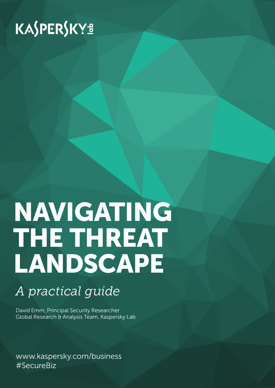# KASPERSKY<sup>3</sup>

# NAVIGATING THE THREAT LANDSCAPE

## *A practical guide*

David Emm, Principal Security Researcher Global Research & Analysis Team, Kaspersky Lab

www.kaspersky.com/business #SecureBiz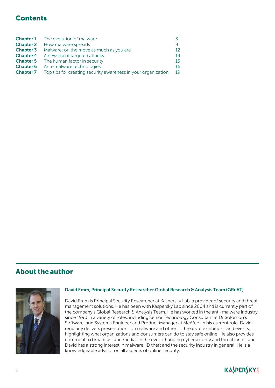## **Contents**

| <b>Chapter 1</b> | The evolution of malware                                      |                 |
|------------------|---------------------------------------------------------------|-----------------|
| <b>Chapter 2</b> | How malware spreads                                           | Q               |
| <b>Chapter 3</b> | Malware: on the move as much as you are                       | 12 <sup>°</sup> |
| <b>Chapter 4</b> | A new era of targeted attacks                                 | 14              |
| <b>Chapter 5</b> | The human factor in security                                  | 15              |
| <b>Chapter 6</b> | Anti-malware technologies                                     | 16              |
| <b>Chapter 7</b> | Top tips for creating security awareness in your organization | 19              |

## About the author



## David Emm, Principal Security Researcher Global Research & Analysis Team (GReAT)

David Emm is Principal Security Researcher at Kaspersky Lab, a provider of security and threat management solutions. He has been with Kaspersky Lab since 2004 and is currently part of the company's Global Research & Analysis Team. He has worked in the anti-malware industry since 1990 in a variety of roles, including Senior Technology Consultant at Dr Solomon's Software, and Systems Engineer and Product Manager at McAfee. In his current role, David regularly delivers presentations on malware and other IT threats at exhibitions and events, highlighting what organizations and consumers can do to stay safe online. He also provides comment to broadcast and media on the ever-changing cybersecurity and threat landscape. David has a strong interest in malware, ID theft and the security industry in general. He is a knowledgeable advisor on all aspects of online security.

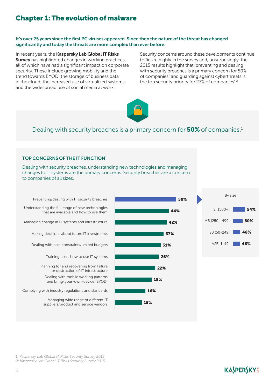## Chapter 1: The evolution of malware

#### It's over 25 years since the first PC viruses appeared. Since then the nature of the threat has changed significantly and today the threats are more complex than ever before.

In recent years, the Kaspersky Lab Global IT Risks Survey has highlighted changes in working practices, all of which have had a significant impact on corporate security. These include growing mobility and the trend towards BYOD; the storage of business data in the cloud; the increased use of virtualized systems; and the widespread use of social media at work.

Security concerns around these developments continue to figure highly in the survey and, unsurprisingly, the 2015 results highlight that 'preventing and dealing with security breaches is a primary concern for 50% of companies<sup>1</sup> and guarding against cyberthreats is the top security priority for 27% of companies'.<sup>2</sup>

44%

42%

37%

31%

26%

22%

18%

16%

15%

50%



## Dealing with security breaches is a primary concern for **50%** of companies.<sup>1</sup>

#### TOP CONCERNS OF THE IT FUNCTION1

Dealing with security breaches, understanding new technologies and managing changes to IT systems are the primary concerns. Security breaches are a concern to companies of all sizes.

Preventing/dealing with IT security breaches Understanding the full range of new technologies that are available and how to use them Managing change in IT systems and infrastructure Making decisions about future IT investments Dealing with cost constraints/limited budgets Training users how to use IT systems Planning for and recovering from failure or destruction of IT infrastructure Dealing with mobile working patterns and bring-your-own-device (BYOD) Managing wide range of different IT suppliers/product and service vendors Complying with industry regulations and standards



*1: Kaspersky Lab Global IT Risks Security Survey 2015*

*2: Kaspersky Lab Global IT Risks Security Survey 2015*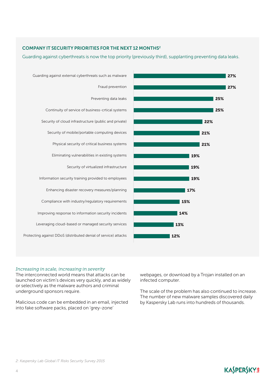## COMPANY IT SECURITY PRIORITIES FOR THE NEXT 12 MONTHS2

Guarding against cyberthreats is now the top priority (previously third), supplanting preventing data leaks.



## *Increasing in scale, increasing in severity*

The interconnected world means that attacks can be launched on victim's devices very quickly, and as widely or selectively as the malware authors and criminal underground sponsors require.

Malicious code can be embedded in an email, injected into fake software packs, placed on 'grey-zone'

webpages, or download by a Trojan installed on an infected computer.

The scale of the problem has also continued to increase. The number of new malware samples discovered daily by Kaspersky Lab runs into hundreds of thousands.

KASPERSKYS

27%

25%

25%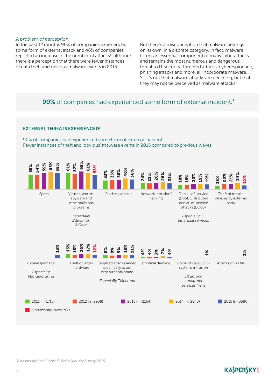#### *A problem of perception*

In the past 12 months 90% of companies experienced some form of external attack and 46% of companies reported an increase in the number of attacks<sup>3</sup>, although there is a perception that there were fewer instances of data theft and obvious malware events in 2015.

But there's a misconception that malware belongs on its own, in a discrete category. In fact, malware forms an essential component of many cyberattacks and remains the most numerous and dangerous threat to IT security. Targeted attacks, cyberespionage, phishing attacks and more, all incorporate malware. So it's not that malware attacks are declining, but that they may not be perceived as malware attacks.

## **90%** of companies had experienced some form of external incident.<sup>3</sup>

#### EXTERNAL THREATS EXPERIENCED3

90% of companies had experienced some form of external incident. Fewer instances of theft and 'obvious' malware events in 2015 compared to previous waves.



#### *3: Kaspersky Lab Global IT Risks Security Survey 2015*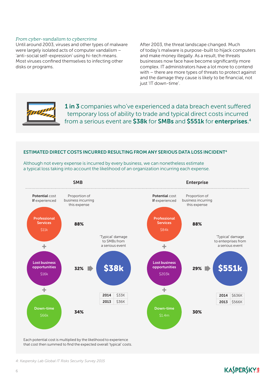#### *From cyber-vandalism to cybercrime*

Until around 2003, viruses and other types of malware were largely isolated acts of computer vandalism – 'anti-social self-expression' using hi-tech means. Most viruses confined themselves to infecting other disks or programs.

After 2003, the threat landscape changed. Much of today's malware is purpose-built to hijack computers and make money illegally. As a result, the threats businesses now face have become significantly more complex. IT administrators have a lot more to contend with – there are more types of threats to protect against and the damage they cause is likely to be financial, not just 'IT down-time'.



1 in 3 companies who've experienced a data breach event suffered temporary loss of ability to trade and typical direct costs incurred from a serious event are \$38k for SMBs and \$551k for enterprises.<sup>4</sup>

## ESTIMATED DIRECT COSTS INCURRED RESULTING FROM ANY SERIOUS DATA LOSS INCIDENT4

Although not every expense is incurred by every business, we can nonetheless estimate a typical loss taking into account the likelihood of an organization incurring each expense.



Each potential cost is multiplied by the likelihood to experience that cost then summed to find the expected overall 'typical' costs.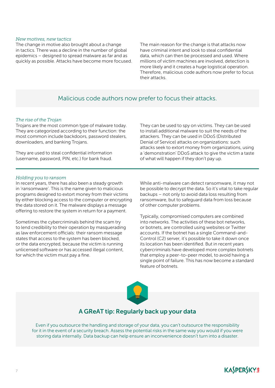#### *New motives, new tactics*

The change in motive also brought about a change in tactics. There was a decline in the number of global epidemics – designed to spread malware as far and as quickly as possible. Attacks have become more focused. The main reason for the change is that attacks now have criminal intent and look to steal confidential data, which can then be processed and used. Where millions of victim machines are involved, detection is more likely and it creates a huge logistical operation. Therefore, malicious code authors now prefer to focus their attacks.

## Malicious code authors now prefer to focus their attacks.

#### *The rise of the Trojan*

Trojans are the most common type of malware today. They are categorized according to their function: the most common include backdoors, password stealers, downloaders, and banking Trojans.

They are used to steal confidential information (username, password, PIN, etc.) for bank fraud. They can be used to spy on victims. They can be used to install additional malware to suit the needs of the attackers. They can be used in DDoS (Distributed Denial of Service) attacks on organizations: such attacks seek to extort money from organizations, using a 'demonstration' DDoS attack to give the victim a taste of what will happen if they don't pay up.

#### *Holding you to ransom*

In recent years, there has also been a steady growth in 'ransomware'. This is the name given to malicious programs designed to extort money from their victims by either blocking access to the computer or encrypting the data stored on it. The malware displays a message offering to restore the system in return for a payment.

Sometimes the cybercriminals behind the scam try to lend credibility to their operation by masquerading as law enforcement officials: their ransom message states that access to the system has been blocked, or the data encrypted, because the victim is running unlicensed software or has accessed illegal content, for which the victim must pay a fine.

While anti-malware can detect ransomware, it may not be possible to decrypt the data. So it's vital to take regular backups – not only to avoid data loss resulting from ransomware, but to safeguard data from loss because of other computer problems.

Typically, compromised computers are combined into networks. The activities of these bot networks, or botnets, are controlled using websites or Twitter accounts. If the botnet has a single Command-and-Control (C2) server, it's possible to take it down once its location has been identified. But in recent years cybercriminals have developed more complex botnets that employ a peer-to-peer model, to avoid having a single point of failure. This has now become a standard feature of botnets.



## A GReAT tip: Regularly back up your data

Even if you outsource the handling and storage of your data, you can't outsource the responsibility for it in the event of a security breach. Assess the potential risks in the same way you would if you were storing data internally. Data backup can help ensure an inconvenience doesn't turn into a disaster.

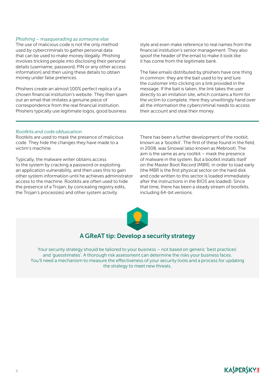#### *Phishing – masquerading as someone else*

The use of malicious code is not the only method used by cybercriminals to gather personal data that can be used to make money illegally. Phishing involves tricking people into disclosing their personal details (username, password, PIN or any other access information) and then using these details to obtain money under false pretences.

Phishers create an almost 100% perfect replica of a chosen financial institution's website. They then spam out an email that imitates a genuine piece of correspondence from the real financial institution. Phishers typically use legitimate logos, good business

style and even make reference to real names from the financial institution's senior management. They also spoof the header of the email to make it look like it has come from the legitimate bank.

The fake emails distributed by phishers have one thing in common: they are the bait used to try and lure the customer into clicking on a link provided in the message. If the bait is taken, the link takes the user directly to an imitation site, which contains a form for the victim to complete. Here they unwittingly hand over all the information the cybercriminal needs to access their account and steal their money.

#### *Rootkits and code obfuscation*

Rootkits are used to mask the presence of malicious code. They hide the changes they have made to a victim's machine.

Typically, the malware writer obtains access to the system by cracking a password or exploiting an application vulnerability, and then uses this to gain other system information until he achieves administrator access to the machine. Rootkits are often used to hide the presence of a Trojan, by concealing registry edits, the Trojan's process(es) and other system activity.

There has been a further development of the rootkit, known as a 'bootkit'. The first of these found in the field, in 2008, was Sinowal (also known as Mebroot). The aim is the same as any rootkit – mask the presence of malware in the system. But a bootkit installs itself on the Master Boot Record (MBR), in order to load early (the MBR is the first physical sector on the hard disk and code written to this sector is loaded immediately after the instructions in the BIOS are loaded). Since that time, there has been a steady stream of bootkits, including 64-bit versions.



## A GReAT tip: Develop a security strategy

Your security strategy should be tailored to your business – not based on generic 'best practices' and 'guesstimates'. A thorough risk assessment can determine the risks your business faces. You'll need a mechanism to measure the effectiveness of your security tools and a process for updating the strategy to meet new threats.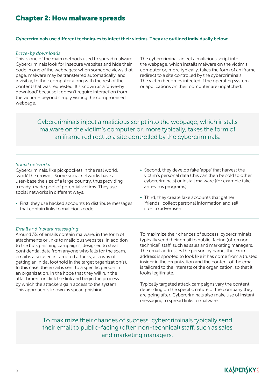## Chapter 2: How malware spreads

#### Cybercriminals use different techniques to infect their victims. They are outlined individually below:

#### *Drive-by downloads*

This is one of the main methods used to spread malware. Cybercriminals look for insecure websites and hide their code in one of the webpages: when someone views that page, malware may be transferred automatically, and invisibly, to their computer along with the rest of the content that was requested. It's known as a 'drive-by download' because it doesn't require interaction from the victim – beyond simply visiting the compromised webpage.

The cybercriminals inject a malicious script into the webpage, which installs malware on the victim's computer or, more typically, takes the form of an iframe redirect to a site controlled by the cybercriminals. The victim becomes infected if the operating system or applications on their computer are unpatched.

Cybercriminals inject a malicious script into the webpage, which installs malware on the victim's computer or, more typically, takes the form of an iframe redirect to a site controlled by the cybercriminals.

#### *Social networks*

Cybercriminals, like pickpockets in the real world, 'work' the crowds. Some social networks have a user-base the size of a large country, thus providing a ready-made pool of potential victims. They use social networks in different ways.

- First, they use hacked accounts to distribute messages that contain links to malicious code
- Second, they develop fake 'apps' that harvest the victim's personal data (this can then be sold to other cybercriminals) or install malware (for example fake anti-virus programs)
- Third, they create fake accounts that gather 'friends', collect personal information and sell it on to advertisers.

#### *Email and instant messaging*

Around 3% of emails contain malware, in the form of attachments or links to malicious websites. In addition to the bulk phishing campaigns, designed to steal confidential data from anyone who falls for the scam, email is also used in targeted attacks, as a way of getting an initial foothold in the target organization(s). In this case, the email is sent to a specific person in an organization, in the hope that they will run the attachment or click the link and begin the process by which the attackers gain access to the system. This approach is known as spear-phishing.

To maximize their chances of success, cybercriminals typically send their email to public-facing (often nontechnical) staff, such as sales and marketing managers. The email addresses the person by name, the 'From' address is spoofed to look like it has come from a trusted insider in the organization and the content of the email is tailored to the interests of the organization, so that it looks legitimate.

Typically targeted attack campaigns vary the content, depending on the specific nature of the company they are going after. Cybercriminals also make use of instant messaging to spread links to malware.

To maximize their chances of success, cybercriminals typically send their email to public-facing (often non-technical) staff, such as sales and marketing managers.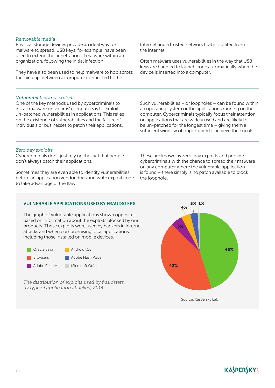10

## *Removable media*

Physical storage devices provide an ideal way for malware to spread. USB keys, for example, have been used to extend the penetration of malware within an organization, following the initial infection.

They have also been used to help malware to hop across the 'air-gap' between a computer connected to the

#### *Vulnerabilities and exploits*

One of the key methods used by cybercriminals to install malware on victims' computers is to exploit un-patched vulnerabilities in applications. This relies on the existence of vulnerabilities and the failure of individuals or businesses to patch their applications.

Internet and a trusted network that is isolated from the Internet.

Often malware uses vulnerabilities in the way that USB keys are handled to launch code automatically when the device is inserted into a computer.

Such vulnerabilities – or loopholes – can be found within an operating system or the applications running on the computer. Cybercriminals typically focus their attention on applications that are widely used and are likely to be un-patched for the longest time – giving them a sufficient window of opportunity to achieve their goals.

## *Zero day exploits*

Cybercriminals don't just rely on the fact that people don't always patch their applications.

Sometimes they are even able to identify vulnerabilities before an application vendor does and write exploit code to take advantage of the flaw.

## VULNERABLE APPLICATIONS USED BY FRAUDSTERS

The graph of vulnerable applications shown opposite is based on information about the exploits blocked by our products. These exploits were used by hackers in internet attacks and when compromising local applications, including those installed on mobile devices.



*The distribution of exploits used by fraudsters, by type of application attacked, 2014*

These are known as zero-day exploits and provide cybercriminals with the chance to spread their malware on any computer where the vulnerable application is found – there simply is no patch available to block the loophole.

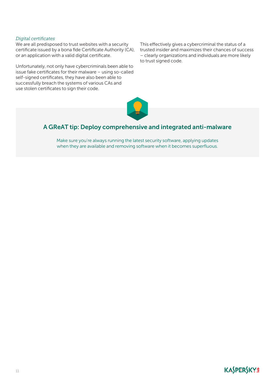#### *Digital certificates*

We are all predisposed to trust websites with a security certificate issued by a bona fide Certificate Authority (CA), or an application with a valid digital certificate.

Unfortunately, not only have cybercriminals been able to issue fake certificates for their malware – using so-called self-signed certificates, they have also been able to successfully breach the systems of various CAs and use stolen certificates to sign their code.

This effectively gives a cybercriminal the status of a trusted insider and maximizes their chances of success – clearly organizations and individuals are more likely to trust signed code.



## A GReAT tip: Deploy comprehensive and integrated anti-malware

Make sure you're always running the latest security software, applying updates when they are available and removing software when it becomes superfluous.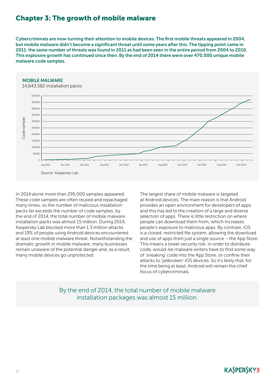## Chapter 3: The growth of mobile malware

Cybercriminals are now turning their attention to mobile devices. The first mobile threats appeared in 2004, but mobile malware didn't become a significant threat until some years after this. The tipping point came in 2011: the same number of threats was found in 2011 as had been seen in the entire period from 2004 to 2010. This explosive growth has continued since then. By the end of 2014 there were over 470,000 unique mobile malware code samples.



## MOBILE MALWARE

In 2014 alone more than 295,000 samples appeared. These code samples are often reused and repackaged many times, so the number of malicious installation packs far exceeds the number of code samples: by the end of 2014, the total number of mobile malware installation packs was almost 15 million. During 2014, Kaspersky Lab blocked more than 1.3 million attacks and 19% of people using Android devices encountered at least one mobile malware threat. Notwithstanding the dramatic growth in mobile malware, many businesses remain unaware of the potential danger and, as a result, many mobile devices go unprotected.

The largest share of mobile malware is targeted at Android devices. The main reason is that Android provides an open environment for developers of apps and this has led to the creation of a large and diverse selection of apps. There is little restriction on where people can download them from, which increases people's exposure to malicious apps. By contrast, iOS is a closed, restricted file system, allowing the download and use of apps from just a single source – the App Store. This means a lower security risk: in order to distribute code, would-be malware writers have to find some way of 'sneaking' code into the App Store, or confine their attacks to 'jailbroken' iOS devices. So it's likely that, for the time being at least, Android will remain the chief focus of cybercriminals.

By the end of 2014, the total number of mobile malware installation packages was almost 15 million.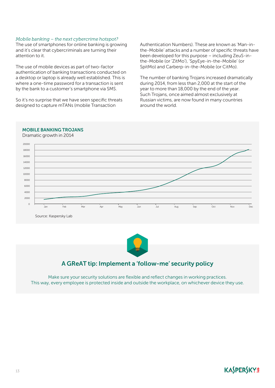#### *Mobile banking – the next cybercrime hotspot?*

The use of smartphones for online banking is growing and it's clear that cybercriminals are turning their attention to it.

The use of mobile devices as part of two-factor authentication of banking transactions conducted on a desktop or laptop is already well established. This is where a one-time password for a transaction is sent by the bank to a customer's smartphone via SMS.

So it's no surprise that we have seen specific threats designed to capture mTANs (mobile Transaction

Authentication Numbers). These are known as 'Man-inthe-Mobile' attacks and a number of specific threats have been developed for this purpose – including ZeuS-inthe-Mobile (or 'ZitMo'), 'SpyEye-in-the-Mobile' (or SpitMo) and Carberp-in-the-Mobile (or CitMo).

The number of banking Trojans increased dramatically during 2014, from less than 2,000 at the start of the year to more than 18,000 by the end of the year. Such Trojans, once aimed almost exclusively at Russian victims, are now found in many countries around the world.



Source: Kaspersky Lab



## A GReAT tip: Implement a 'follow-me' security policy

Make sure your security solutions are flexible and reflect changes in working practices. This way, every employee is protected inside and outside the workplace, on whichever device they use.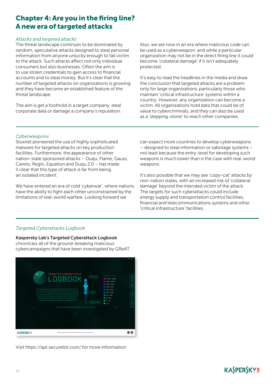## Chapter 4: Are you in the firing line? A new era of targeted attacks

## *Attacks and targeted attacks*

The threat landscape continues to be dominated by random, speculative attacks designed to steal personal information from anyone unlucky enough to fall victim to the attack. Such attacks affect not only individual consumers but also businesses. Often the aim is to use stolen credentials to gain access to financial accounts and to steal money. But it's clear that the number of targeted attacks on organizations is growing and they have become an established feature of the threat landscape.

The aim is get a foothold in a target company, steal corporate data or damage a company's reputation. Also, we are now in an era where malicious code can be used as a cyberweapon: and while a particular organization may not be in the direct firing line it could become 'collateral damage' if it isn't adequately protected.

It's easy to read the headlines in the media and draw the conclusion that targeted attacks are a problem only for large organizations, particularly those who maintain 'critical infrastructure' systems within a country. However, any organization can become a victim. All organizations hold data that could be of value to cybercriminals; and they can also be used as a 'stepping-stone' to reach other companies.

## *Cyberweapons*

Stuxnet pioneered the use of highly sophisticated malware for targeted attacks on key production facilities. Furthermore, the appearance of other nation-state sponsored attacks – Duqu, Flame, Gauss, Careto, Regin, Equation and Duqu 2.0 – has made it clear that this type of attack is far from being an isolated incident.

We have entered an era of cold 'cyberwar', where nations have the ability to fight each other unconstrained by the limitations of real-world warfare. Looking forward we

can expect more countries to develop cyberweapons – designed to steal information or sabotage systems – not least because the entry-level for developing such weapons is much lower than is the case with real-world weapons.

It's also possible that we may see 'copy-cat' attacks by non-nation states, with an increased risk of 'collateral damage' beyond the intended victim of the attack. The targets for such cyberattacks could include energy supply and transportation control facilities, financial and telecommunications systems and other 'critical infrastructure' facilities.

## *Targeted Cyberattacks Logbook*

[Kaspersky Lab's Targeted Cyberattack Logbook](https://apt.securelist.com/) chronicles all of the ground-breaking malicious cybercampaigns that have been investigated by GReAT.



Visit https://apt.securelist.com/ for more information

## **KASPERSKY<sup>8</sup>**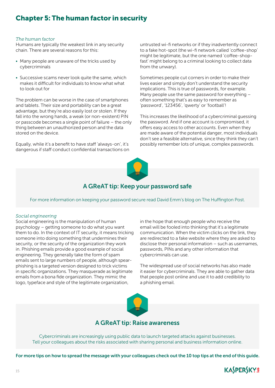## Chapter 5: The human factor in security

#### *The human factor*

Humans are typically the weakest link in any security chain. There are several reasons for this:

- Many people are unaware of the tricks used by cybercriminals
- Successive scams never look quite the same, which makes it difficult for individuals to know what what to look out for

The problem can be worse in the case of smartphones and tablets. Their size and portability can be a great advantage, but they're also easily lost or stolen. If they fall into the wrong hands, a weak (or non-existent) PIN or passcode becomes a single point of failure – the only thing between an unauthorized person and the data stored on the device.

Equally, while it's a benefit to have staff 'always-on', it's dangerous if staff conduct confidential transactions on untrusted wi-fi networks or if they inadvertently connect to a fake hot-spot (the wi-fi network called 'coffee-shop' might be legitimate, but the one named 'coffee-shopfast' might belong to a criminal looking to collect data from the unwary).

Sometimes people cut corners in order to make their lives easier and simply don't understand the security implications. This is true of passwords, for example. Many people use the same password for everything – often something that's as easy to remember as 'password', '123456', 'qwerty' or 'football'!

This increases the likelihood of a cybercriminal guessing the password. And if one account is compromised, it offers easy access to other accounts. Even when they are made aware of the potential danger, most individuals don't see a feasible alternative, since they think they can't possibly remember lots of unique, complex passwords.



## A GReAT tip: Keep your password safe

For more information on keeping your password secure read [David Emm's blog on The Huffington Post](http://www.huffingtonpost.co.uk/david-emm/keeping-your-passwords-secure_b_3384533.html).

## *Social engineering*

Social engineering is the manipulation of human psychology – getting someone to do what you want them to do. In the context of IT security, it means tricking someone into doing something that undermines their security, or the security of the organization they work in. Phishing emails provide a good example of social engineering. They generally take the form of spam emails sent to large numbers of people, although spearphishing is a targeted version designed to trick victims in specific organizations. They masquerade as legitimate emails from a bona fide organization. They mimic the logo, typeface and style of the legitimate organization,

in the hope that enough people who receive the email will be fooled into thinking that it's a legitimate communication. When the victim clicks on the link, they are redirected to a fake website where they are asked to disclose their personal information – such as usernames, passwords, PINs and any other information that cybercriminals can use.

The widespread use of social networks has also made it easier for cybercriminals. They are able to gather data that people post online and use it to add credibility to a phishing email.



## A GReAT tip: Raise awareness

Cybercriminals are increasingly using public data to launch targeted attacks against businesses. Tell your colleagues about the risks associated with sharing personal and business information online.

For more tips on how to spread the message with your colleagues check out the 10 top tips at the end of this guide.

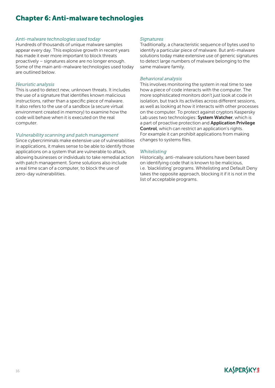## Chapter 6: Anti-malware technologies

#### *Anti-malware technologies used today*

Hundreds of thousands of unique malware samples appear every day. This explosive growth in recent years has made it ever more important to block threats proactively – signatures alone are no longer enough. Some of the main anti-malware technologies used today are outlined below.

#### *Heuristic analysis*

This is used to detect new, unknown threats. It includes the use of a signature that identifies known malicious instructions, rather than a specific piece of malware. It also refers to the use of a sandbox (a secure virtual environment created in memory) to examine how the code will behave when it is executed on the real computer.

#### *Vulnerability scanning and patch management*

Since cybercriminals make extensive use of vulnerabilities in applications, it makes sense to be able to identify those applications on a system that are vulnerable to attack, allowing businesses or individuals to take remedial action with patch management. Some solutions also include a real time scan of a computer, to block the use of zero-day vulnerabilities.

#### *Signatures*

Traditionally, a characteristic sequence of bytes used to identify a particular piece of malware. But anti-malware solutions today make extensive use of generic signatures to detect large numbers of malware belonging to the same malware family.

#### *Behavioral analysis*

This involves monitoring the system in real time to see how a piece of code interacts with the computer. The more sophisticated monitors don't just look at code in isolation, but track its activities across different sessions, as well as looking at how it interacts with other processes on the computer. To protect against cryptors Kaspersky Lab uses two technologies: System Watcher, which is a part of proactive protection and Application Privilege Control, which can restrict an application's rights. For example it can prohibit applications from making changes to systems files.

#### *Whitelisting*

Historically, anti-malware solutions have been based on identifying code that is known to be malicious, i.e. 'blacklisting' programs. Whitelisting and Default Deny takes the opposite approach, blocking it if it is not in the list of acceptable programs.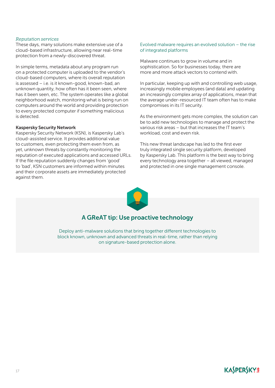#### *Reputation services*

These days, many solutions make extensive use of a cloud-based infrastructure, allowing near real-time protection from a newly-discovered threat.

In simple terms, metadata about any program run on a protected computer is uploaded to the vendor's cloud-based computers, where its overall reputation is assessed – i.e. is it known-good, known-bad, an unknown quantity, how often has it been seen, where has it been seen, etc. The system operates like a global neighborhood watch, monitoring what is being run on computers around the world and providing protection to every protected computer if something malicious is detected.

#### Kaspersky Security Network

Kaspersky Security Network (KSN), is Kaspersky Lab's cloud-assisted service. It provides additional value to customers, even protecting them even from, as yet, unknown threats by constantly monitoring the reputation of executed applications and accessed URLs. If the file reputation suddenly changes from 'good' to 'bad', KSN customers are informed within minutes and their corporate assets are immediately protected against them.

#### Evolved malware requires an evolved solution – the rise of integrated platforms

Malware continues to grow in volume and in sophistication. So for businesses today, there are more and more attack vectors to contend with.

In particular, keeping up with and controlling web usage, increasingly mobile employees (and data) and updating an increasingly complex array of applications, mean that the average under-resourced IT team often has to make compromises in its IT security.

As the environment gets more complex, the solution can be to add new technologies to manage and protect the various risk areas – but that increases the IT team's workload, cost and even risk.

This new threat landscape has led to the first ever truly integrated single security platform, developed by Kaspersky Lab. This platform is the best way to bring every technology area together – all viewed, managed and protected in one single management console.



## A GReAT tip: Use proactive technology

Deploy anti-malware solutions that bring together different technologies to block known, unknown and advanced threats in real-time, rather than relying on signature-based protection alone.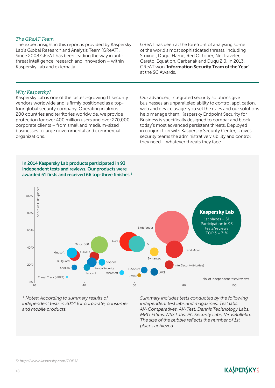#### *The GReAT Team*

The expert insight in this report is provided by Kaspersky Lab's Global Research and Analysis Team (GReAT). Since 2008 GReAT has been leading the way in antithreat intelligence, research and innovation – within Kaspersky Lab and externally.

GReAT has been at the forefront of analysing some of the world's most sophisticated threats, including Stuxnet, Duqu, Flame, Red October, NetTraveler, Careto, Equation, Carbanak and Duqu 2.0. In 2013, GReAT won 'Information Security Team of the Year' at the SC Awards.

## *Why Kaspersky?*

Kaspersky Lab is one of the fastest-growing IT security vendors worldwide and is firmly positioned as a topfour global security company. Operating in almost 200 countries and territories worldwide, we provide protection for over 400 million users and over 270,000 corporate clients – from small and medium-sized businesses to large governmental and commercial organizations.

Our advanced, integrated security solutions give businesses an unparalleled ability to control application, web and device usage: you set the rules and our solutions help manage them. Kaspersky Endpoint Security for Business is specifically designed to combat and block today's most advanced persistent threats. Deployed in conjunction with Kaspersky Security Center, it gives security teams the administrative visibility and control they need – whatever threats they face.



*\* Notes: According to summary results of independent tests in 2014 for corporate, consumer and mobile products.*

*Summary includes tests conducted by the following independent test labs and magazines: Test labs: AV-Comparatives, AV-Test, Dennis Technology Labs, MRG Effitas, NSS Labs, PC Security Labs, VirusBulletin. The size of the bubble reflects the number of 1st places achieved.*

**KASPERSKY<sup>8</sup>** 

#### *5: <http://www.kaspersky.com/TOP3/>*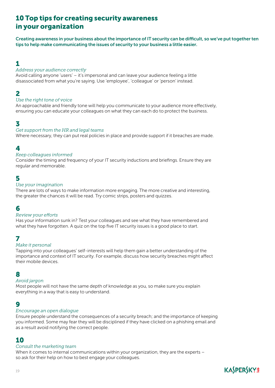## 10 Top tips for creating security awareness in your organization

Creating awareness in your business about the importance of IT security can be difficult, so we've put together ten tips to help make communicating the issues of security to your business a little easier.

## 1

## *Address your audience correctly*

Avoid calling anyone 'users' – it's impersonal and can leave your audience feeling a little disassociated from what you're saying. Use 'employee', 'colleague' or 'person' instead.

## 2

## *Use the right tone of voice*

An approachable and friendly tone will help you communicate to your audience more effectively, ensuring you can educate your colleagues on what they can each do to protect the business.

## 3

## *Get support from the HR and legal teams*

Where necessary, they can put real policies in place and provide support if it breaches are made.

## 4

## *Keep colleagues informed*

Consider the timing and frequency of your IT security inductions and briefings. Ensure they are regular and memorable.

## 5

## *Use your imagination*

There are lots of ways to make information more engaging. The more creative and interesting, the greater the chances it will be read. Try comic strips, posters and quizzes.

## 6

## *Review your efforts*

Has your information sunk in? Test your colleagues and see what they have remembered and what they have forgotten. A quiz on the top five IT security issues is a good place to start.

## 7

## *Make it personal*

Tapping into your colleagues' self-interests will help them gain a better understanding of the importance and context of IT security. For example, discuss how security breaches might affect their mobile devices.

## 8

## *Avoid jargon*

Most people will not have the same depth of knowledge as you, so make sure you explain everything in a way that is easy to understand.

## 9

## *Encourage an open dialogue*

Ensure people understand the consequences of a security breach; and the importance of keeping you informed. Some may fear they will be disciplined if they have clicked on a phishing email and as a result avoid notifying the correct people.

## 10

## *Consult the marketing team*

When it comes to internal communications within your organization, they are the experts – so ask for their help on how to best engage your colleagues.